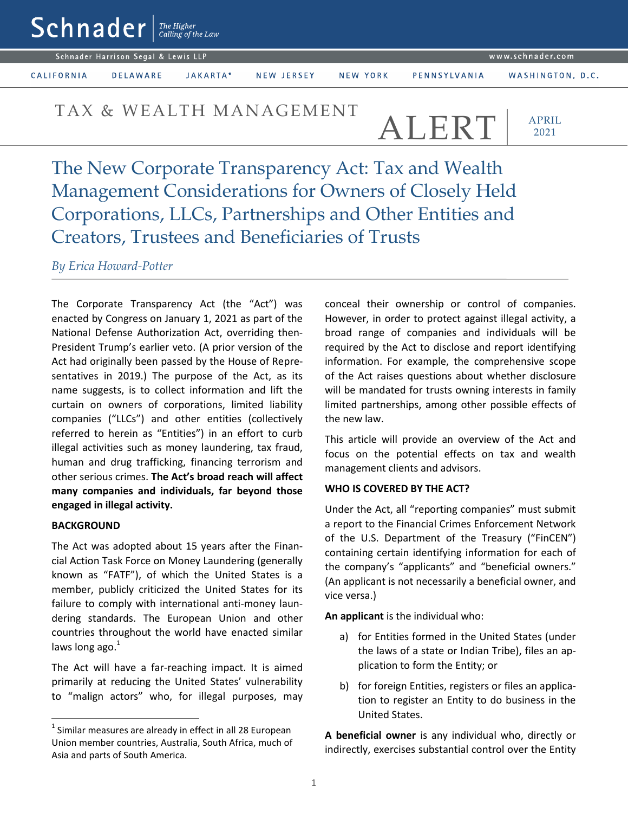Schnader Harrison Segal & Lewis LLP

CALIFORNIA

JAKARTA\* **DELAWARE** 

NEW JERSEY

NEW YORK

WASHINGTON, D.C.

# TAX & WEALTH MANAGEMENT  $ATRT$

PENNSYLVANIA

APRIL 2021

The New Corporate Transparency Act: Tax and Wealth Management Considerations for Owners of Closely Held Corporations, LLCs, Partnerships and Other Entities and Creators, Trustees and Beneficiaries of Trusts

*By Erica Howard-Potter*

The Corporate Transparency Act (the "Act") was enacted by Congress on January 1, 2021 as part of the National Defense Authorization Act, overriding then-President Trump's earlier veto. (A prior version of the Act had originally been passed by the House of Representatives in 2019.) The purpose of the Act, as its name suggests, is to collect information and lift the curtain on owners of corporations, limited liability companies ("LLCs") and other entities (collectively referred to herein as "Entities") in an effort to curb illegal activities such as money laundering, tax fraud, human and drug trafficking, financing terrorism and other serious crimes. **The Act's broad reach will affect many companies and individuals, far beyond those engaged in illegal activity.** 

### **BACKGROUND**

 $\overline{a}$ 

The Act was adopted about 15 years after the Financial Action Task Force on Money Laundering (generally known as "FATF"), of which the United States is a member, publicly criticized the United States for its failure to comply with international anti-money laundering standards. The European Union and other countries throughout the world have enacted similar laws long ago. $^{1}$ 

The Act will have a far-reaching impact. It is aimed primarily at reducing the United States' vulnerability to "malign actors" who, for illegal purposes, may conceal their ownership or control of companies. However, in order to protect against illegal activity, a broad range of companies and individuals will be required by the Act to disclose and report identifying information. For example, the comprehensive scope of the Act raises questions about whether disclosure will be mandated for trusts owning interests in family limited partnerships, among other possible effects of the new law.

This article will provide an overview of the Act and focus on the potential effects on tax and wealth management clients and advisors.

### **WHO IS COVERED BY THE ACT?**

Under the Act, all "reporting companies" must submit a report to the Financial Crimes Enforcement Network of the U.S. Department of the Treasury ("FinCEN") containing certain identifying information for each of the company's "applicants" and "beneficial owners." (An applicant is not necessarily a beneficial owner, and vice versa.)

**An applicant** is the individual who:

- a) for Entities formed in the United States (under the laws of a state or Indian Tribe), files an application to form the Entity; or
- b) for foreign Entities, registers or files an application to register an Entity to do business in the United States.

**A beneficial owner** is any individual who, directly or indirectly, exercises substantial control over the Entity

 $<sup>1</sup>$  Similar measures are already in effect in all 28 European</sup> Union member countries, Australia, South Africa, much of Asia and parts of South America.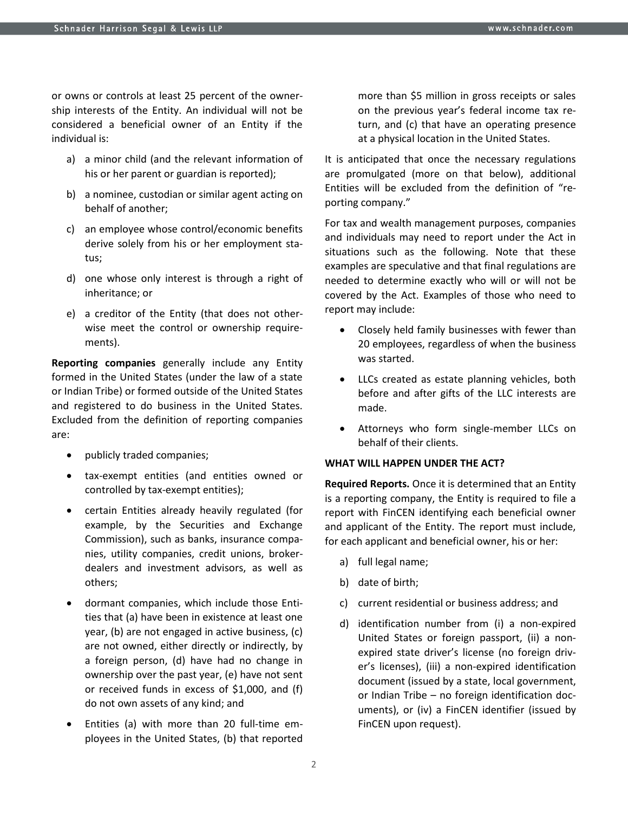or owns or controls at least 25 percent of the ownership interests of the Entity. An individual will not be considered a beneficial owner of an Entity if the individual is:

- a) a minor child (and the relevant information of his or her parent or guardian is reported);
- b) a nominee, custodian or similar agent acting on behalf of another;
- c) an employee whose control/economic benefits derive solely from his or her employment status;
- d) one whose only interest is through a right of inheritance; or
- e) a creditor of the Entity (that does not otherwise meet the control or ownership requirements).

**Reporting companies** generally include any Entity formed in the United States (under the law of a state or Indian Tribe) or formed outside of the United States and registered to do business in the United States. Excluded from the definition of reporting companies are:

- publicly traded companies;
- tax-exempt entities (and entities owned or controlled by tax-exempt entities);
- certain Entities already heavily regulated (for example, by the Securities and Exchange Commission), such as banks, insurance companies, utility companies, credit unions, brokerdealers and investment advisors, as well as others;
- dormant companies, which include those Entities that (a) have been in existence at least one year, (b) are not engaged in active business, (c) are not owned, either directly or indirectly, by a foreign person, (d) have had no change in ownership over the past year, (e) have not sent or received funds in excess of \$1,000, and (f) do not own assets of any kind; and
- Entities (a) with more than 20 full-time employees in the United States, (b) that reported

more than \$5 million in gross receipts or sales on the previous year's federal income tax return, and (c) that have an operating presence at a physical location in the United States.

It is anticipated that once the necessary regulations are promulgated (more on that below), additional Entities will be excluded from the definition of "reporting company."

For tax and wealth management purposes, companies and individuals may need to report under the Act in situations such as the following. Note that these examples are speculative and that final regulations are needed to determine exactly who will or will not be covered by the Act. Examples of those who need to report may include:

- Closely held family businesses with fewer than 20 employees, regardless of when the business was started.
- LLCs created as estate planning vehicles, both before and after gifts of the LLC interests are made.
- Attorneys who form single-member LLCs on behalf of their clients.

### **WHAT WILL HAPPEN UNDER THE ACT?**

**Required Reports.** Once it is determined that an Entity is a reporting company, the Entity is required to file a report with FinCEN identifying each beneficial owner and applicant of the Entity. The report must include, for each applicant and beneficial owner, his or her:

- a) full legal name;
- b) date of birth;
- c) current residential or business address; and
- d) identification number from (i) a non-expired United States or foreign passport, (ii) a nonexpired state driver's license (no foreign driver's licenses), (iii) a non-expired identification document (issued by a state, local government, or Indian Tribe – no foreign identification documents), or (iv) a FinCEN identifier (issued by FinCEN upon request).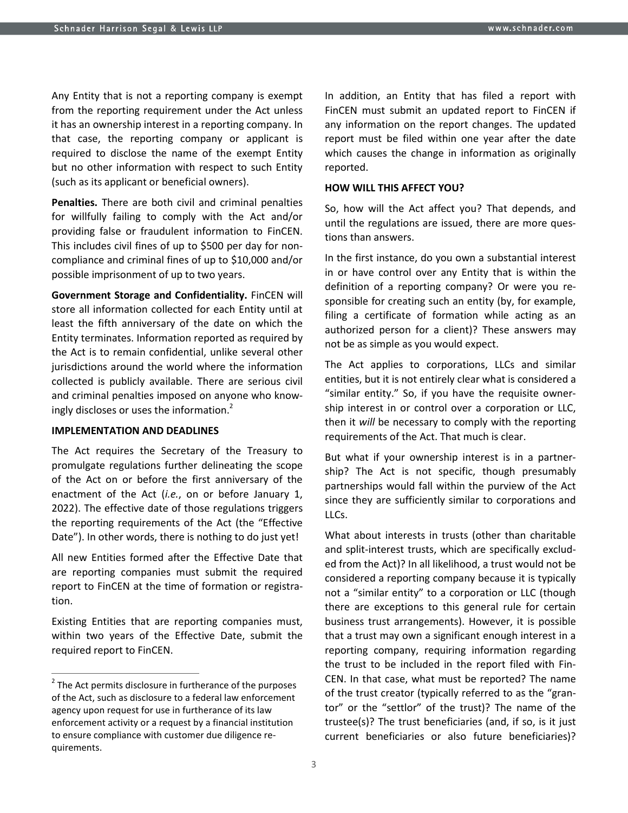Any Entity that is not a reporting company is exempt from the reporting requirement under the Act unless it has an ownership interest in a reporting company. In that case, the reporting company or applicant is required to disclose the name of the exempt Entity but no other information with respect to such Entity (such as its applicant or beneficial owners).

**Penalties.** There are both civil and criminal penalties for willfully failing to comply with the Act and/or providing false or fraudulent information to FinCEN. This includes civil fines of up to \$500 per day for noncompliance and criminal fines of up to \$10,000 and/or possible imprisonment of up to two years.

**Government Storage and Confidentiality.** FinCEN will store all information collected for each Entity until at least the fifth anniversary of the date on which the Entity terminates. Information reported as required by the Act is to remain confidential, unlike several other jurisdictions around the world where the information collected is publicly available. There are serious civil and criminal penalties imposed on anyone who knowingly discloses or uses the information.<sup>2</sup>

#### **IMPLEMENTATION AND DEADLINES**

The Act requires the Secretary of the Treasury to promulgate regulations further delineating the scope of the Act on or before the first anniversary of the enactment of the Act (*i.e.*, on or before January 1, 2022). The effective date of those regulations triggers the reporting requirements of the Act (the "Effective Date"). In other words, there is nothing to do just yet!

All new Entities formed after the Effective Date that are reporting companies must submit the required report to FinCEN at the time of formation or registration.

Existing Entities that are reporting companies must, within two years of the Effective Date, submit the required report to FinCEN.

 $\overline{a}$ 

In addition, an Entity that has filed a report with FinCEN must submit an updated report to FinCEN if any information on the report changes. The updated report must be filed within one year after the date which causes the change in information as originally reported.

#### **HOW WILL THIS AFFECT YOU?**

So, how will the Act affect you? That depends, and until the regulations are issued, there are more questions than answers.

In the first instance, do you own a substantial interest in or have control over any Entity that is within the definition of a reporting company? Or were you responsible for creating such an entity (by, for example, filing a certificate of formation while acting as an authorized person for a client)? These answers may not be as simple as you would expect.

The Act applies to corporations, LLCs and similar entities, but it is not entirely clear what is considered a "similar entity." So, if you have the requisite ownership interest in or control over a corporation or LLC, then it *will* be necessary to comply with the reporting requirements of the Act. That much is clear.

But what if your ownership interest is in a partnership? The Act is not specific, though presumably partnerships would fall within the purview of the Act since they are sufficiently similar to corporations and LLCs.

What about interests in trusts (other than charitable and split-interest trusts, which are specifically excluded from the Act)? In all likelihood, a trust would not be considered a reporting company because it is typically not a "similar entity" to a corporation or LLC (though there are exceptions to this general rule for certain business trust arrangements). However, it is possible that a trust may own a significant enough interest in a reporting company, requiring information regarding the trust to be included in the report filed with Fin-CEN. In that case, what must be reported? The name of the trust creator (typically referred to as the "grantor" or the "settlor" of the trust)? The name of the trustee(s)? The trust beneficiaries (and, if so, is it just current beneficiaries or also future beneficiaries)?

 $2$  The Act permits disclosure in furtherance of the purposes of the Act, such as disclosure to a federal law enforcement agency upon request for use in furtherance of its law enforcement activity or a request by a financial institution to ensure compliance with customer due diligence requirements.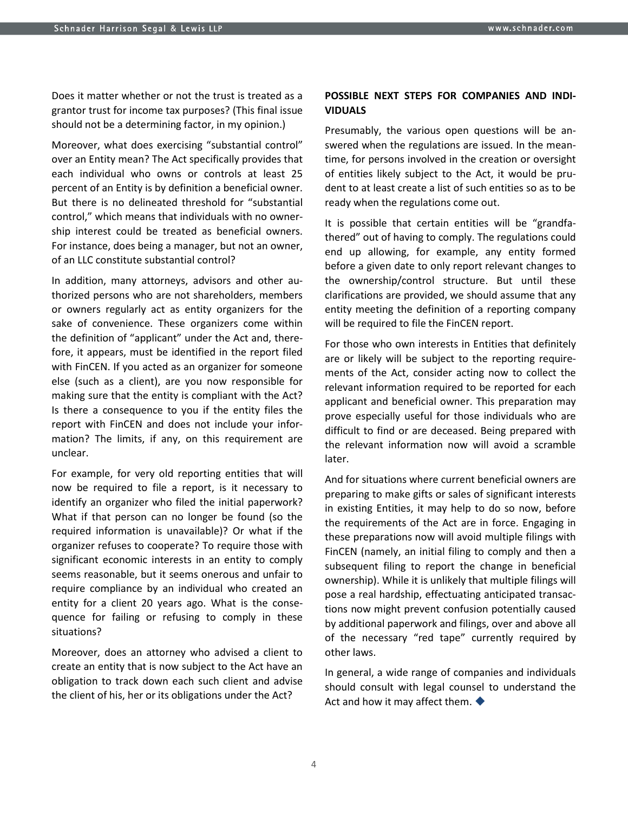Does it matter whether or not the trust is treated as a grantor trust for income tax purposes? (This final issue should not be a determining factor, in my opinion.)

Moreover, what does exercising "substantial control" over an Entity mean? The Act specifically provides that each individual who owns or controls at least 25 percent of an Entity is by definition a beneficial owner. But there is no delineated threshold for "substantial control," which means that individuals with no ownership interest could be treated as beneficial owners. For instance, does being a manager, but not an owner, of an LLC constitute substantial control?

In addition, many attorneys, advisors and other authorized persons who are not shareholders, members or owners regularly act as entity organizers for the sake of convenience. These organizers come within the definition of "applicant" under the Act and, therefore, it appears, must be identified in the report filed with FinCEN. If you acted as an organizer for someone else (such as a client), are you now responsible for making sure that the entity is compliant with the Act? Is there a consequence to you if the entity files the report with FinCEN and does not include your information? The limits, if any, on this requirement are unclear.

For example, for very old reporting entities that will now be required to file a report, is it necessary to identify an organizer who filed the initial paperwork? What if that person can no longer be found (so the required information is unavailable)? Or what if the organizer refuses to cooperate? To require those with significant economic interests in an entity to comply seems reasonable, but it seems onerous and unfair to require compliance by an individual who created an entity for a client 20 years ago. What is the consequence for failing or refusing to comply in these situations?

Moreover, does an attorney who advised a client to create an entity that is now subject to the Act have an obligation to track down each such client and advise the client of his, her or its obligations under the Act?

## **POSSIBLE NEXT STEPS FOR COMPANIES AND INDI-VIDUALS**

Presumably, the various open questions will be answered when the regulations are issued. In the meantime, for persons involved in the creation or oversight of entities likely subject to the Act, it would be prudent to at least create a list of such entities so as to be ready when the regulations come out.

It is possible that certain entities will be "grandfathered" out of having to comply. The regulations could end up allowing, for example, any entity formed before a given date to only report relevant changes to the ownership/control structure. But until these clarifications are provided, we should assume that any entity meeting the definition of a reporting company will be required to file the FinCEN report.

For those who own interests in Entities that definitely are or likely will be subject to the reporting requirements of the Act, consider acting now to collect the relevant information required to be reported for each applicant and beneficial owner. This preparation may prove especially useful for those individuals who are difficult to find or are deceased. Being prepared with the relevant information now will avoid a scramble later.

And for situations where current beneficial owners are preparing to make gifts or sales of significant interests in existing Entities, it may help to do so now, before the requirements of the Act are in force. Engaging in these preparations now will avoid multiple filings with FinCEN (namely, an initial filing to comply and then a subsequent filing to report the change in beneficial ownership). While it is unlikely that multiple filings will pose a real hardship, effectuating anticipated transactions now might prevent confusion potentially caused by additional paperwork and filings, over and above all of the necessary "red tape" currently required by other laws.

In general, a wide range of companies and individuals should consult with legal counsel to understand the Act and how it may affect them.  $\blacklozenge$